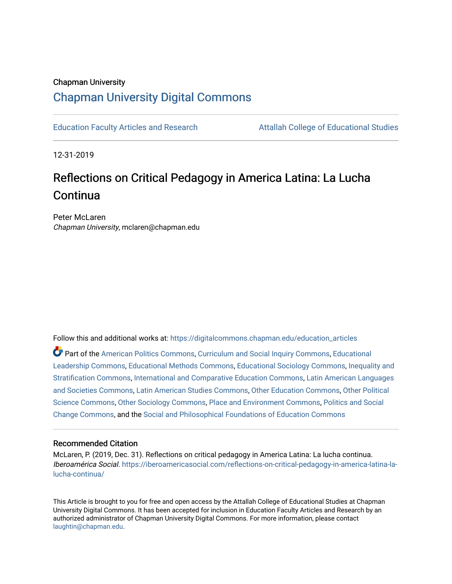## Chapman University [Chapman University Digital Commons](https://digitalcommons.chapman.edu/)

[Education Faculty Articles and Research](https://digitalcommons.chapman.edu/education_articles) [Attallah College of Educational Studies](https://digitalcommons.chapman.edu/ces) 

12-31-2019

# Reflections on Critical Pedagogy in America Latina: La Lucha Continua

Peter McLaren Chapman University, mclaren@chapman.edu

Follow this and additional works at: [https://digitalcommons.chapman.edu/education\\_articles](https://digitalcommons.chapman.edu/education_articles?utm_source=digitalcommons.chapman.edu%2Feducation_articles%2F249&utm_medium=PDF&utm_campaign=PDFCoverPages)

Part of the [American Politics Commons,](http://network.bepress.com/hgg/discipline/387?utm_source=digitalcommons.chapman.edu%2Feducation_articles%2F249&utm_medium=PDF&utm_campaign=PDFCoverPages) [Curriculum and Social Inquiry Commons,](http://network.bepress.com/hgg/discipline/1038?utm_source=digitalcommons.chapman.edu%2Feducation_articles%2F249&utm_medium=PDF&utm_campaign=PDFCoverPages) [Educational](http://network.bepress.com/hgg/discipline/1230?utm_source=digitalcommons.chapman.edu%2Feducation_articles%2F249&utm_medium=PDF&utm_campaign=PDFCoverPages) [Leadership Commons,](http://network.bepress.com/hgg/discipline/1230?utm_source=digitalcommons.chapman.edu%2Feducation_articles%2F249&utm_medium=PDF&utm_campaign=PDFCoverPages) [Educational Methods Commons,](http://network.bepress.com/hgg/discipline/1227?utm_source=digitalcommons.chapman.edu%2Feducation_articles%2F249&utm_medium=PDF&utm_campaign=PDFCoverPages) [Educational Sociology Commons,](http://network.bepress.com/hgg/discipline/1071?utm_source=digitalcommons.chapman.edu%2Feducation_articles%2F249&utm_medium=PDF&utm_campaign=PDFCoverPages) [Inequality and](http://network.bepress.com/hgg/discipline/421?utm_source=digitalcommons.chapman.edu%2Feducation_articles%2F249&utm_medium=PDF&utm_campaign=PDFCoverPages) [Stratification Commons](http://network.bepress.com/hgg/discipline/421?utm_source=digitalcommons.chapman.edu%2Feducation_articles%2F249&utm_medium=PDF&utm_campaign=PDFCoverPages), [International and Comparative Education Commons,](http://network.bepress.com/hgg/discipline/797?utm_source=digitalcommons.chapman.edu%2Feducation_articles%2F249&utm_medium=PDF&utm_campaign=PDFCoverPages) [Latin American Languages](http://network.bepress.com/hgg/discipline/483?utm_source=digitalcommons.chapman.edu%2Feducation_articles%2F249&utm_medium=PDF&utm_campaign=PDFCoverPages)  [and Societies Commons](http://network.bepress.com/hgg/discipline/483?utm_source=digitalcommons.chapman.edu%2Feducation_articles%2F249&utm_medium=PDF&utm_campaign=PDFCoverPages), [Latin American Studies Commons](http://network.bepress.com/hgg/discipline/363?utm_source=digitalcommons.chapman.edu%2Feducation_articles%2F249&utm_medium=PDF&utm_campaign=PDFCoverPages), [Other Education Commons](http://network.bepress.com/hgg/discipline/811?utm_source=digitalcommons.chapman.edu%2Feducation_articles%2F249&utm_medium=PDF&utm_campaign=PDFCoverPages), [Other Political](http://network.bepress.com/hgg/discipline/392?utm_source=digitalcommons.chapman.edu%2Feducation_articles%2F249&utm_medium=PDF&utm_campaign=PDFCoverPages) [Science Commons,](http://network.bepress.com/hgg/discipline/392?utm_source=digitalcommons.chapman.edu%2Feducation_articles%2F249&utm_medium=PDF&utm_campaign=PDFCoverPages) [Other Sociology Commons,](http://network.bepress.com/hgg/discipline/434?utm_source=digitalcommons.chapman.edu%2Feducation_articles%2F249&utm_medium=PDF&utm_campaign=PDFCoverPages) [Place and Environment Commons,](http://network.bepress.com/hgg/discipline/424?utm_source=digitalcommons.chapman.edu%2Feducation_articles%2F249&utm_medium=PDF&utm_campaign=PDFCoverPages) [Politics and Social](http://network.bepress.com/hgg/discipline/425?utm_source=digitalcommons.chapman.edu%2Feducation_articles%2F249&utm_medium=PDF&utm_campaign=PDFCoverPages)  [Change Commons](http://network.bepress.com/hgg/discipline/425?utm_source=digitalcommons.chapman.edu%2Feducation_articles%2F249&utm_medium=PDF&utm_campaign=PDFCoverPages), and the [Social and Philosophical Foundations of Education Commons](http://network.bepress.com/hgg/discipline/799?utm_source=digitalcommons.chapman.edu%2Feducation_articles%2F249&utm_medium=PDF&utm_campaign=PDFCoverPages) 

#### Recommended Citation

McLaren, P. (2019, Dec. 31). Reflections on critical pedagogy in America Latina: La lucha continua. Iberoamérica Social. [https://iberoamericasocial.com/reflections-on-critical-pedagogy-in-america-latina-la](https://iberoamericasocial.com/reflections-on-critical-pedagogy-in-america-latina-la-lucha-continua/)[lucha-continua/](https://iberoamericasocial.com/reflections-on-critical-pedagogy-in-america-latina-la-lucha-continua/) 

This Article is brought to you for free and open access by the Attallah College of Educational Studies at Chapman University Digital Commons. It has been accepted for inclusion in Education Faculty Articles and Research by an authorized administrator of Chapman University Digital Commons. For more information, please contact [laughtin@chapman.edu.](mailto:laughtin@chapman.edu)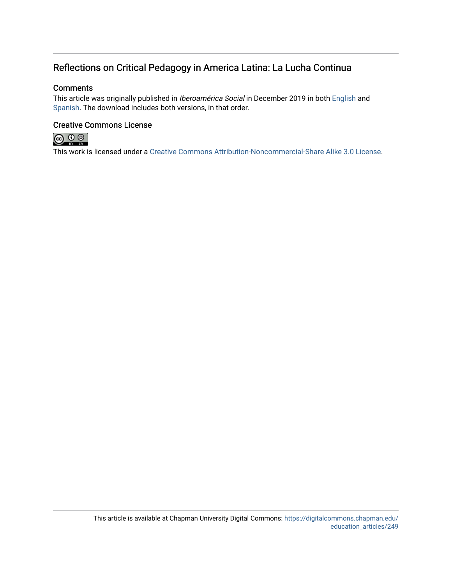### Reflections on Critical Pedagogy in America Latina: La Lucha Continua

#### **Comments**

This article was originally published in Iberoamérica Social in December 2019 in both [English](https://iberoamericasocial.com/reflections-on-critical-pedagogy-in-america-latina-la-lucha-continua/) and [Spanish.](https://iberoamericasocial.com/reflexiones-sobre-pedagogia-critica-en-america-latina-la-lucha-continua/) The download includes both versions, in that order.

### Creative Commons License



This work is licensed under a [Creative Commons Attribution-Noncommercial-Share Alike 3.0 License](https://creativecommons.org/licenses/by-nc-sa/3.0/).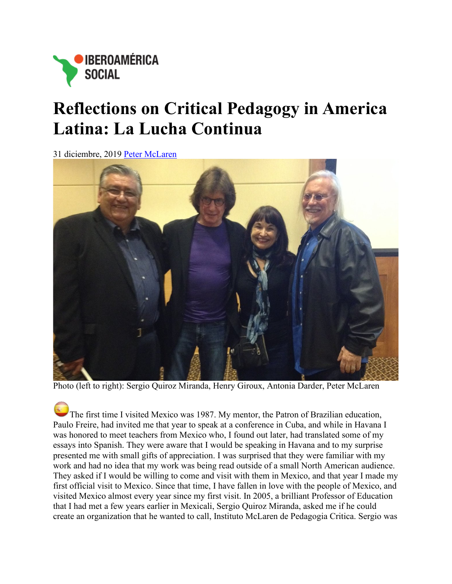

# **Reflections on Critical Pedagogy in America Latina: La Lucha Continua**

[31 diciembre, 2019](https://iberoamericasocial.com/wp-content/uploads/2019/12/pedagog%C3%ADa-cr%C3%ADtica-en-Am%C3%A9rica-Latina.jpg) [Peter McLaren](https://iberoamericasocial.com/author/peter-mclaren/)



Photo (left to right): Sergio Quiroz Miranda, Henry Giroux, Antonia Darder, Peter McLaren

[T](https://iberoamericasocial.com/reflexiones-sobre-pedagogia-critica-en-america-latina-la-lucha-continua/)he first time I visited Mexico was 1987. My mentor, the Patron of Brazilian education, Paulo Freire, had invited me that year to speak at a conference in Cuba, and while in Havana I was honored to meet teachers from Mexico who, I found out later, had translated some of my essays into Spanish. They were aware that I would be speaking in Havana and to my surprise presented me with small gifts of appreciation. I was surprised that they were familiar with my work and had no idea that my work was being read outside of a small North American audience. They asked if I would be willing to come and visit with them in Mexico, and that year I made my first official visit to Mexico. Since that time, I have fallen in love with the people of Mexico, and visited Mexico almost every year since my first visit. In 2005, a brilliant Professor of Education that I had met a few years earlier in Mexicali, Sergio Quiroz Miranda, asked me if he could create an organization that he wanted to call, Instituto McLaren de Pedagogia Critica. Sergio was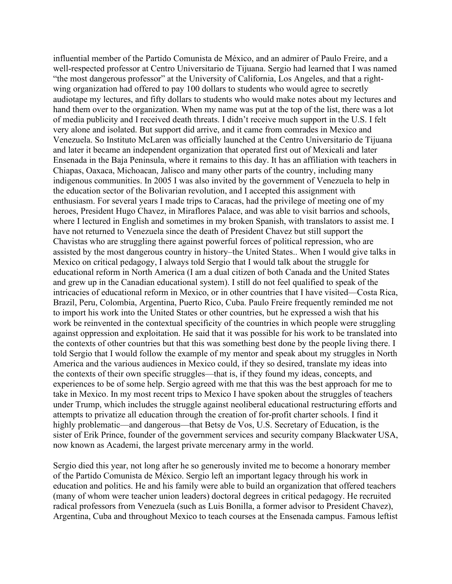influential member of the Partido Comunista de México, and an admirer of Paulo Freire, and a well-respected professor at Centro Universitario de Tijuana. Sergio had learned that I was named "the most dangerous professor" at the University of California, Los Angeles, and that a rightwing organization had offered to pay 100 dollars to students who would agree to secretly audiotape my lectures, and fifty dollars to students who would make notes about my lectures and hand them over to the organization. When my name was put at the top of the list, there was a lot of media publicity and I received death threats. I didn't receive much support in the U.S. I felt very alone and isolated. But support did arrive, and it came from comrades in Mexico and Venezuela. So Instituto McLaren was officially launched at the Centro Universitario de Tijuana and later it became an independent organization that operated first out of Mexicali and later Ensenada in the Baja Peninsula, where it remains to this day. It has an affiliation with teachers in Chiapas, Oaxaca, Michoacan, Jalisco and many other parts of the country, including many indigenous communities. In 2005 I was also invited by the government of Venezuela to help in the education sector of the Bolivarian revolution, and I accepted this assignment with enthusiasm. For several years I made trips to Caracas, had the privilege of meeting one of my heroes, President Hugo Chavez, in Miraflores Palace, and was able to visit barrios and schools, where I lectured in English and sometimes in my broken Spanish, with translators to assist me. I have not returned to Venezuela since the death of President Chavez but still support the Chavistas who are struggling there against powerful forces of political repression, who are assisted by the most dangerous country in history–the United States.. When I would give talks in Mexico on critical pedagogy, I always told Sergio that I would talk about the struggle for educational reform in North America (I am a dual citizen of both Canada and the United States and grew up in the Canadian educational system). I still do not feel qualified to speak of the intricacies of educational reform in Mexico, or in other countries that I have visited—Costa Rica, Brazil, Peru, Colombia, Argentina, Puerto Rico, Cuba. Paulo Freire frequently reminded me not to import his work into the United States or other countries, but he expressed a wish that his work be reinvented in the contextual specificity of the countries in which people were struggling against oppression and exploitation. He said that it was possible for his work to be translated into the contexts of other countries but that this was something best done by the people living there. I told Sergio that I would follow the example of my mentor and speak about my struggles in North America and the various audiences in Mexico could, if they so desired, translate my ideas into the contexts of their own specific struggles—that is, if they found my ideas, concepts, and experiences to be of some help. Sergio agreed with me that this was the best approach for me to take in Mexico. In my most recent trips to Mexico I have spoken about the struggles of teachers under Trump, which includes the struggle against neoliberal educational restructuring efforts and attempts to privatize all education through the creation of for-profit charter schools. I find it highly problematic—and dangerous—that Betsy de Vos, U.S. Secretary of Education, is the sister of Erik Prince, founder of the government services and security company Blackwater USA, now known as Academi, the largest private mercenary army in the world.

Sergio died this year, not long after he so generously invited me to become a honorary member of the Partido Comunista de México. Sergio left an important legacy through his work in education and politics. He and his family were able to build an organization that offered teachers (many of whom were teacher union leaders) doctoral degrees in critical pedagogy. He recruited radical professors from Venezuela (such as Luis Bonilla, a former advisor to President Chavez), Argentina, Cuba and throughout Mexico to teach courses at the Ensenada campus. Famous leftist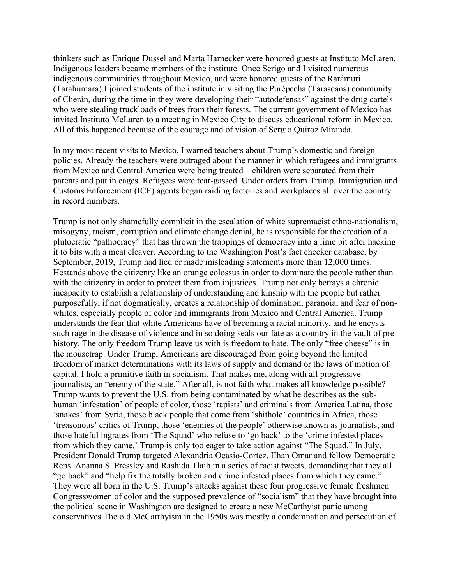thinkers such as Enrique Dussel and Marta Harnecker were honored guests at Instituto McLaren. Indigenous leaders became members of the institute. Once Serigo and I visited numerous indigenous communities throughout Mexico, and were honored guests of the Rarámuri (Tarahumara).I joined students of the institute in visiting the Purépecha (Tarascans) community of Cherán, during the time in they were developing their "autodefensas" against the drug cartels who were stealing truckloads of trees from their forests. The current government of Mexico has invited Instituto McLaren to a meeting in Mexico City to discuss educational reform in Mexico. All of this happened because of the courage and of vision of Sergio Quiroz Miranda.

In my most recent visits to Mexico, I warned teachers about Trump's domestic and foreign policies. Already the teachers were outraged about the manner in which refugees and immigrants from Mexico and Central America were being treated—children were separated from their parents and put in cages. Refugees were tear-gassed. Under orders from Trump, Immigration and Customs Enforcement (ICE) agents began raiding factories and workplaces all over the country in record numbers.

Trump is not only shamefully complicit in the escalation of white supremacist ethno-nationalism, misogyny, racism, corruption and climate change denial, he is responsible for the creation of a plutocratic "pathocracy" that has thrown the trappings of democracy into a lime pit after hacking it to bits with a meat cleaver. According to the Washington Post's fact checker database, by September, 2019, Trump had lied or made misleading statements more than 12,000 times. Hestands above the citizenry like an orange colossus in order to dominate the people rather than with the citizenry in order to protect them from injustices. Trump not only betrays a chronic incapacity to establish a relationship of understanding and kinship with the people but rather purposefully, if not dogmatically, creates a relationship of domination, paranoia, and fear of nonwhites, especially people of color and immigrants from Mexico and Central America. Trump understands the fear that white Americans have of becoming a racial minority, and he encysts such rage in the disease of violence and in so doing seals our fate as a country in the vault of prehistory. The only freedom Trump leave us with is freedom to hate. The only "free cheese" is in the mousetrap. Under Trump, Americans are discouraged from going beyond the limited freedom of market determinations with its laws of supply and demand or the laws of motion of capital. I hold a primitive faith in socialism. That makes me, along with all progressive journalists, an "enemy of the state." After all, is not faith what makes all knowledge possible? Trump wants to prevent the U.S. from being contaminated by what he describes as the subhuman 'infestation' of people of color, those 'rapists' and criminals from America Latina, those 'snakes' from Syria, those black people that come from 'shithole' countries in Africa, those 'treasonous' critics of Trump, those 'enemies of the people' otherwise known as journalists, and those hateful ingrates from 'The Squad' who refuse to 'go back' to the 'crime infested places from which they came.' Trump is only too eager to take action against "The Squad." In July, President Donald Trump targeted Alexandria Ocasio-Cortez, IIhan Omar and fellow Democratic Reps. Ananna S. Pressley and Rashida Tlaib in a series of racist tweets, demanding that they all "go back" and "help fix the totally broken and crime infested places from which they came." They were all born in the U.S. Trump's attacks against these four progressive female freshmen Congresswomen of color and the supposed prevalence of "socialism" that they have brought into the political scene in Washington are designed to create a new McCarthyist panic among conservatives.The old McCarthyism in the 1950s was mostly a condemnation and persecution of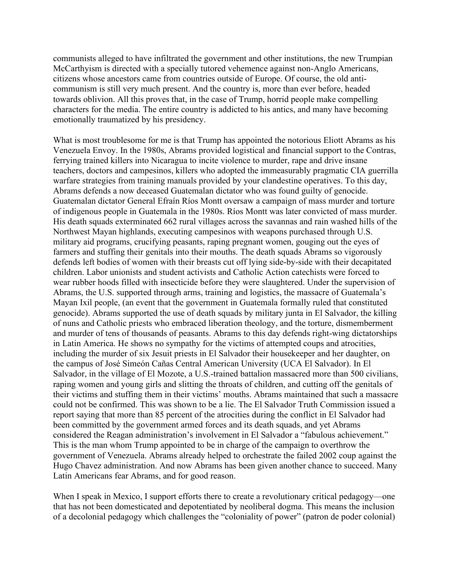communists alleged to have infiltrated the government and other institutions, the new Trumpian McCarthyism is directed with a specially tutored vehemence against non-Anglo Americans, citizens whose ancestors came from countries outside of Europe. Of course, the old anticommunism is still very much present. And the country is, more than ever before, headed towards oblivion. All this proves that, in the case of Trump, horrid people make compelling characters for the media. The entire country is addicted to his antics, and many have becoming emotionally traumatized by his presidency.

What is most troublesome for me is that Trump has appointed the notorious Eliott Abrams as his Venezuela Envoy. In the 1980s, Abrams provided logistical and financial support to the Contras, ferrying trained killers into Nicaragua to incite violence to murder, rape and drive insane teachers, doctors and campesinos, killers who adopted the immeasurably pragmatic CIA guerrilla warfare strategies from training manuals provided by your clandestine operatives. To this day, Abrams defends a now deceased Guatemalan dictator who was found guilty of genocide. Guatemalan dictator General Efraín Ríos Montt oversaw a campaign of mass murder and torture of indigenous people in Guatemala in the 1980s. Ríos Montt was later convicted of mass murder. His death squads exterminated 662 rural villages across the savannas and rain washed hills of the Northwest Mayan highlands, executing campesinos with weapons purchased through U.S. military aid programs, crucifying peasants, raping pregnant women, gouging out the eyes of farmers and stuffing their genitals into their mouths. The death squads Abrams so vigorously defends left bodies of women with their breasts cut off lying side-by-side with their decapitated children. Labor unionists and student activists and Catholic Action catechists were forced to wear rubber hoods filled with insecticide before they were slaughtered. Under the supervision of Abrams, the U.S. supported through arms, training and logistics, the massacre of Guatemala's Mayan Ixil people, (an event that the government in Guatemala formally ruled that constituted genocide). Abrams supported the use of death squads by military junta in El Salvador, the killing of nuns and Catholic priests who embraced liberation theology, and the torture, dismemberment and murder of tens of thousands of peasants. Abrams to this day defends right-wing dictatorships in Latin America. He shows no sympathy for the victims of attempted coups and atrocities, including the murder of six Jesuit priests in El Salvador their housekeeper and her daughter, on the campus of José Simeón Cañas Central American University (UCA El Salvador). In El Salvador, in the village of El Mozote, a U.S.-trained battalion massacred more than 500 civilians, raping women and young girls and slitting the throats of children, and cutting off the genitals of their victims and stuffing them in their victims' mouths. Abrams maintained that such a massacre could not be confirmed. This was shown to be a lie. The El Salvador Truth Commission issued a report saying that more than 85 percent of the atrocities during the conflict in El Salvador had been committed by the government armed forces and its death squads, and yet Abrams considered the Reagan administration's involvement in El Salvador a "fabulous achievement." This is the man whom Trump appointed to be in charge of the campaign to overthrow the government of Venezuela. Abrams already helped to orchestrate the failed 2002 coup against the Hugo Chavez administration. And now Abrams has been given another chance to succeed. Many Latin Americans fear Abrams, and for good reason.

When I speak in Mexico, I support efforts there to create a revolutionary critical pedagogy—one that has not been domesticated and depotentiated by neoliberal dogma. This means the inclusion of a decolonial pedagogy which challenges the "coloniality of power" (patron de poder colonial)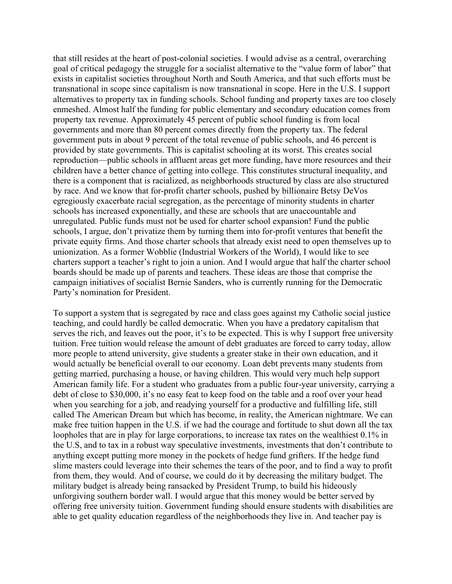that still resides at the heart of post-colonial societies. I would advise as a central, overarching goal of critical pedagogy the struggle for a socialist alternative to the "value form of labor" that exists in capitalist societies throughout North and South America, and that such efforts must be transnational in scope since capitalism is now transnational in scope. Here in the U.S. I support alternatives to property tax in funding schools. School funding and property taxes are too closely enmeshed. Almost half the funding for public elementary and secondary education comes from property tax revenue. Approximately 45 percent of public school funding is from local governments and more than 80 percent comes directly from the property tax. The federal government puts in about 9 percent of the total revenue of public schools, and 46 percent is provided by state governments. This is capitalist schooling at its worst. This creates social reproduction—public schools in affluent areas get more funding, have more resources and their children have a better chance of getting into college. This constitutes structural inequality, and there is a component that is racialized, as neighborhoods structured by class are also structured by race. And we know that for-profit charter schools, pushed by billionaire Betsy DeVos egregiously exacerbate racial segregation, as the percentage of minority students in charter schools has increased exponentially, and these are schools that are unaccountable and unregulated. Public funds must not be used for charter school expansion! Fund the public schools, I argue, don't privatize them by turning them into for-profit ventures that benefit the private equity firms. And those charter schools that already exist need to open themselves up to unionization. As a former Wobblie (Industrial Workers of the World), I would like to see charters support a teacher's right to join a union. And I would argue that half the charter school boards should be made up of parents and teachers. These ideas are those that comprise the campaign initiatives of socialist Bernie Sanders, who is currently running for the Democratic Party's nomination for President.

To support a system that is segregated by race and class goes against my Catholic social justice teaching, and could hardly be called democratic. When you have a predatory capitalism that serves the rich, and leaves out the poor, it's to be expected. This is why I support free university tuition. Free tuition would release the amount of debt graduates are forced to carry today, allow more people to attend university, give students a greater stake in their own education, and it would actually be beneficial overall to our economy. Loan debt prevents many students from getting married, purchasing a house, or having children. This would very much help support American family life. For a student who graduates from a public four-year university, carrying a debt of close to \$30,000, it's no easy feat to keep food on the table and a roof over your head when you searching for a job, and readying yourself for a productive and fulfilling life, still called The American Dream but which has become, in reality, the American nightmare. We can make free tuition happen in the U.S. if we had the courage and fortitude to shut down all the tax loopholes that are in play for large corporations, to increase tax rates on the wealthiest 0.1% in the U.S, and to tax in a robust way speculative investments, investments that don't contribute to anything except putting more money in the pockets of hedge fund grifters. If the hedge fund slime masters could leverage into their schemes the tears of the poor, and to find a way to profit from them, they would. And of course, we could do it by decreasing the military budget. The military budget is already being ransacked by President Trump, to build his hideously unforgiving southern border wall. I would argue that this money would be better served by offering free university tuition. Government funding should ensure students with disabilities are able to get quality education regardless of the neighborhoods they live in. And teacher pay is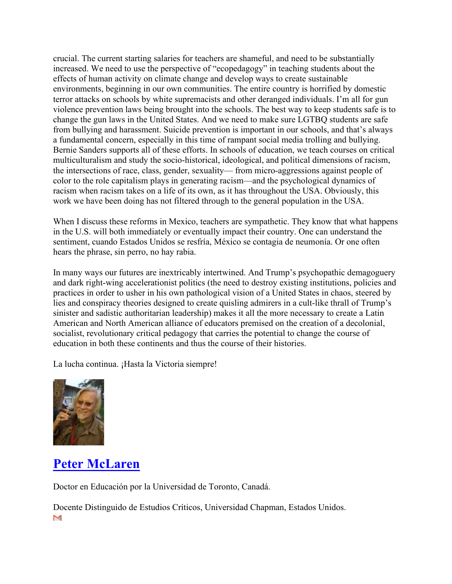crucial. The current starting salaries for teachers are shameful, and need to be substantially increased. We need to use the perspective of "ecopedagogy" in teaching students about the effects of human activity on climate change and develop ways to create sustainable environments, beginning in our own communities. The entire country is horrified by domestic terror attacks on schools by white supremacists and other deranged individuals. I'm all for gun violence prevention laws being brought into the schools. The best way to keep students safe is to change the gun laws in the United States. And we need to make sure LGTBQ students are safe from bullying and harassment. Suicide prevention is important in our schools, and that's always a fundamental concern, especially in this time of rampant social media trolling and bullying. Bernie Sanders supports all of these efforts. In schools of education, we teach courses on critical multiculturalism and study the socio-historical, ideological, and political dimensions of racism, the intersections of race, class, gender, sexuality— from micro-aggressions against people of color to the role capitalism plays in generating racism—and the psychological dynamics of racism when racism takes on a life of its own, as it has throughout the USA. Obviously, this work we have been doing has not filtered through to the general population in the USA.

When I discuss these reforms in Mexico, teachers are sympathetic. They know that what happens in the U.S. will both immediately or eventually impact their country. One can understand the sentiment, cuando Estados Unidos se resfría, México se contagia de neumonía. Or one often hears the phrase, sin perro, no hay rabia.

In many ways our futures are inextricably intertwined. And Trump's psychopathic demagoguery and dark right-wing accelerationist politics (the need to destroy existing institutions, policies and practices in order to usher in his own pathological vision of a United States in chaos, steered by lies and conspiracy theories designed to create quisling admirers in a cult-like thrall of Trump's sinister and sadistic authoritarian leadership) makes it all the more necessary to create a Latin American and North American alliance of educators premised on the creation of a decolonial, socialist, revolutionary critical pedagogy that carries the potential to change the course of education in both these continents and thus the course of their histories.

La lucha continua. ¡Hasta la Victoria siempre!



# **[Peter McLaren](https://iberoamericasocial.com/author/peter-mclaren/)**

Doctor en Educación por la Universidad de Toronto, Canadá.

Docente Distinguido de Estudios Críticos, Universidad Chapman, Estados Unidos.M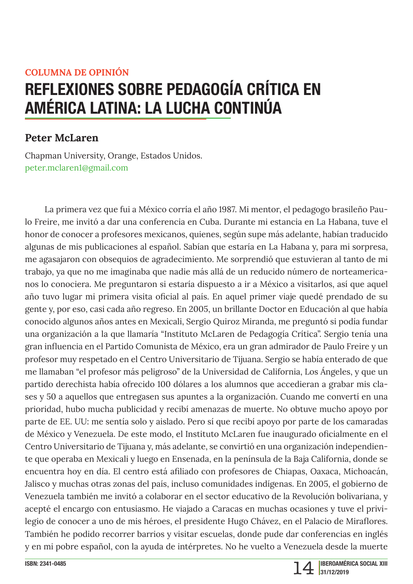### **COLUMNA DE OPINIÓN**

# REFLEXIONES SOBRE PEDAGOGÍA CRÍTICA EN AMÉRICA LATINA: LA LUCHA CONTINÚA

## **Peter McLaren**

Chapman University, Orange, Estados Unidos. peter.mclaren1@gmail.com

La primera vez que fui a México corría el año 1987. Mi mentor, el pedagogo brasileño Paulo Freire, me invitó a dar una conferencia en Cuba. Durante mi estancia en La Habana, tuve el honor de conocer a profesores mexicanos, quienes, según supe más adelante, habían traducido algunas de mis publicaciones al español. Sabían que estaría en La Habana y, para mi sorpresa, me agasajaron con obsequios de agradecimiento. Me sorprendió que estuvieran al tanto de mi trabajo, ya que no me imaginaba que nadie más allá de un reducido número de norteamericanos lo conociera. Me preguntaron si estaría dispuesto a ir a México a visitarlos, así que aquel año tuvo lugar mi primera visita oficial al país. En aquel primer viaje quedé prendado de su gente y, por eso, casi cada año regreso. En 2005, un brillante Doctor en Educación al que había conocido algunos años antes en Mexicali, Sergio Quiroz Miranda, me preguntó si podía fundar una organización a la que llamaría "Instituto McLaren de Pedagogía Crítica". Sergio tenía una gran influencia en el Partido Comunista de México, era un gran admirador de Paulo Freire y un profesor muy respetado en el Centro Universitario de Tijuana. Sergio se había enterado de que me llamaban "el profesor más peligroso" de la Universidad de California, Los Ángeles, y que un partido derechista había ofrecido 100 dólares a los alumnos que accedieran a grabar mis clases y 50 a aquellos que entregasen sus apuntes a la organización. Cuando me convertí en una prioridad, hubo mucha publicidad y recibí amenazas de muerte. No obtuve mucho apoyo por parte de EE. UU: me sentía solo y aislado. Pero sí que recibí apoyo por parte de los camaradas de México y Venezuela. De este modo, el Instituto McLaren fue inaugurado oficialmente en el Centro Universitario de Tijuana y, más adelante, se convirtió en una organización independiente que operaba en Mexicali y luego en Ensenada, en la península de la Baja California, donde se encuentra hoy en día. El centro está afiliado con profesores de Chiapas, Oaxaca, Michoacán, Jalisco y muchas otras zonas del país, incluso comunidades indígenas. En 2005, el gobierno de Venezuela también me invitó a colaborar en el sector educativo de la Revolución bolivariana, y acepté el encargo con entusiasmo. He viajado a Caracas en muchas ocasiones y tuve el privilegio de conocer a uno de mis héroes, el presidente Hugo Chávez, en el Palacio de Miraflores. También he podido recorrer barrios y visitar escuelas, donde pude dar conferencias en inglés y en mi pobre español, con la ayuda de intérpretes. No he vuelto a Venezuela desde la muerte

ISBN: 2341-0485

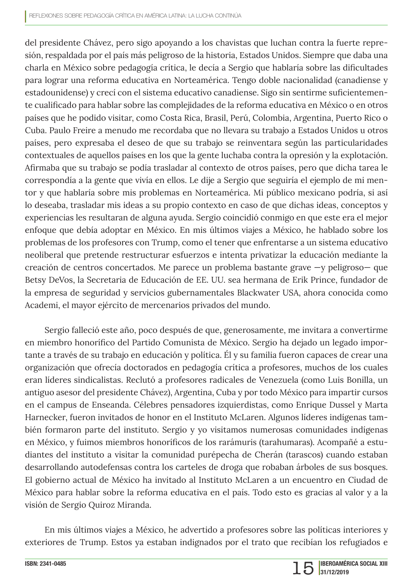del presidente Chávez, pero sigo apoyando a los chavistas que luchan contra la fuerte represión, respaldada por el país más peligroso de la historia, Estados Unidos. Siempre que daba una charla en México sobre pedagogía crítica, le decía a Sergio que hablaría sobre las dificultades para lograr una reforma educativa en Norteamérica. Tengo doble nacionalidad (canadiense y estadounidense) y crecí con el sistema educativo canadiense. Sigo sin sentirme suficientemente cualificado para hablar sobre las complejidades de la reforma educativa en México o en otros países que he podido visitar, como Costa Rica, Brasil, Perú, Colombia, Argentina, Puerto Rico o Cuba. Paulo Freire a menudo me recordaba que no llevara su trabajo a Estados Unidos u otros países, pero expresaba el deseo de que su trabajo se reinventara según las particularidades contextuales de aquellos países en los que la gente luchaba contra la opresión y la explotación. Afirmaba que su trabajo se podía trasladar al contexto de otros países, pero que dicha tarea le correspondía a la gente que vivía en ellos. Le dije a Sergio que seguiría el ejemplo de mi mentor y que hablaría sobre mis problemas en Norteamérica. Mi público mexicano podría, si así lo deseaba, trasladar mis ideas a su propio contexto en caso de que dichas ideas, conceptos y experiencias les resultaran de alguna ayuda. Sergio coincidió conmigo en que este era el mejor enfoque que debía adoptar en México. En mis últimos viajes a México, he hablado sobre los problemas de los profesores con Trump, como el tener que enfrentarse a un sistema educativo neoliberal que pretende restructurar esfuerzos e intenta privatizar la educación mediante la creación de centros concertados. Me parece un problema bastante grave —y peligroso— que Betsy DeVos, la Secretaria de Educación de EE. UU. sea hermana de Erik Prince, fundador de la empresa de seguridad y servicios gubernamentales Blackwater USA, ahora conocida como Academi, el mayor ejército de mercenarios privados del mundo.

Sergio falleció este año, poco después de que, generosamente, me invitara a convertirme en miembro honorífico del Partido Comunista de México. Sergio ha dejado un legado importante a través de su trabajo en educación y política. Él y su familia fueron capaces de crear una organización que ofrecía doctorados en pedagogía crítica a profesores, muchos de los cuales eran líderes sindicalistas. Reclutó a profesores radicales de Venezuela (como Luis Bonilla, un antiguo asesor del presidente Chávez), Argentina, Cuba y por todo México para impartir cursos en el campus de Enseanda. Célebres pensadores izquierdistas, como Enrique Dussel y Marta Harnecker, fueron invitados de honor en el Instituto McLaren. Algunos líderes indígenas también formaron parte del instituto. Sergio y yo visitamos numerosas comunidades indígenas en México, y fuimos miembros honoríficos de los rarámuris (tarahumaras). Acompañé a estudiantes del instituto a visitar la comunidad purépecha de Cherán (tarascos) cuando estaban desarrollando autodefensas contra los carteles de droga que robaban árboles de sus bosques. El gobierno actual de México ha invitado al Instituto McLaren a un encuentro en Ciudad de México para hablar sobre la reforma educativa en el país. Todo esto es gracias al valor y a la visión de Sergio Quiroz Miranda.

En mis últimos viajes a México, he advertido a profesores sobre las políticas interiores y exteriores de Trump. Estos ya estaban indignados por el trato que recibían los refugiados e

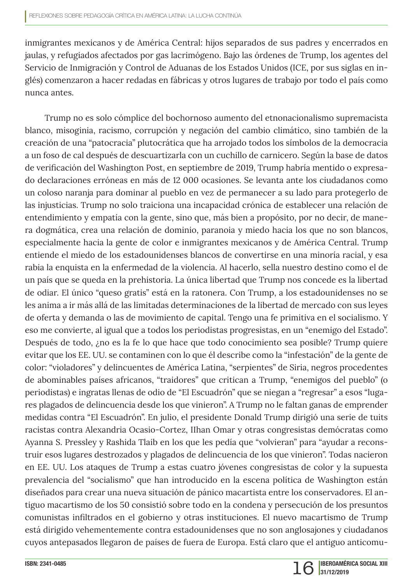inmigrantes mexicanos y de América Central: hijos separados de sus padres y encerrados en jaulas, y refugiados afectados por gas lacrimógeno. Bajo las órdenes de Trump, los agentes del Servicio de Inmigración y Control de Aduanas de los Estados Unidos (ICE, por sus siglas en inglés) comenzaron a hacer redadas en fábricas y otros lugares de trabajo por todo el país como nunca antes.

Trump no es solo cómplice del bochornoso aumento del etnonacionalismo supremacista blanco, misoginia, racismo, corrupción y negación del cambio climático, sino también de la creación de una "patocracia" plutocrática que ha arrojado todos los símbolos de la democracia a un foso de cal después de descuartizarla con un cuchillo de carnicero. Según la base de datos de verificación del Washington Post, en septiembre de 2019, Trump habría mentido o expresado declaraciones erróneas en más de 12 000 ocasiones. Se levanta ante los ciudadanos como un coloso naranja para dominar al pueblo en vez de permanecer a su lado para protegerlo de las injusticias. Trump no solo traiciona una incapacidad crónica de establecer una relación de entendimiento y empatía con la gente, sino que, más bien a propósito, por no decir, de manera dogmática, crea una relación de dominio, paranoia y miedo hacia los que no son blancos, especialmente hacia la gente de color e inmigrantes mexicanos y de América Central. Trump entiende el miedo de los estadounidenses blancos de convertirse en una minoría racial, y esa rabia la enquista en la enfermedad de la violencia. Al hacerlo, sella nuestro destino como el de un país que se queda en la prehistoria. La única libertad que Trump nos concede es la libertad de odiar. El único "queso gratis" está en la ratonera. Con Trump, a los estadounidenses no se les anima a ir más allá de las limitadas determinaciones de la libertad de mercado con sus leyes de oferta y demanda o las de movimiento de capital. Tengo una fe primitiva en el socialismo. Y eso me convierte, al igual que a todos los periodistas progresistas, en un "enemigo del Estado". Después de todo, ¿no es la fe lo que hace que todo conocimiento sea posible? Trump quiere evitar que los EE. UU. se contaminen con lo que él describe como la "infestación" de la gente de color: "violadores" y delincuentes de América Latina, "serpientes" de Siria, negros procedentes de abominables países africanos, "traidores" que critican a Trump, "enemigos del pueblo" (o periodistas) e ingratas llenas de odio de "El Escuadrón" que se niegan a "regresar" a esos "lugares plagados de delincuencia desde los que vinieron". A Trump no le faltan ganas de emprender medidas contra "El Escuadrón". En julio, el presidente Donald Trump dirigió una serie de tuits racistas contra Alexandria Ocasio-Cortez, IIhan Omar y otras congresistas demócratas como Ayanna S. Pressley y Rashida Tlaib en los que les pedía que "volvieran" para "ayudar a reconstruir esos lugares destrozados y plagados de delincuencia de los que vinieron". Todas nacieron en EE. UU. Los ataques de Trump a estas cuatro jóvenes congresistas de color y la supuesta prevalencia del "socialismo" que han introducido en la escena política de Washington están diseñados para crear una nueva situación de pánico macartista entre los conservadores. El antiguo macartismo de los 50 consistió sobre todo en la condena y persecución de los presuntos comunistas infiltrados en el gobierno y otras instituciones. El nuevo macartismo de Trump está dirigido vehementemente contra estadounidenses que no son anglosajones y ciudadanos cuyos antepasados llegaron de países de fuera de Europa. Está claro que el antiguo anticomu-

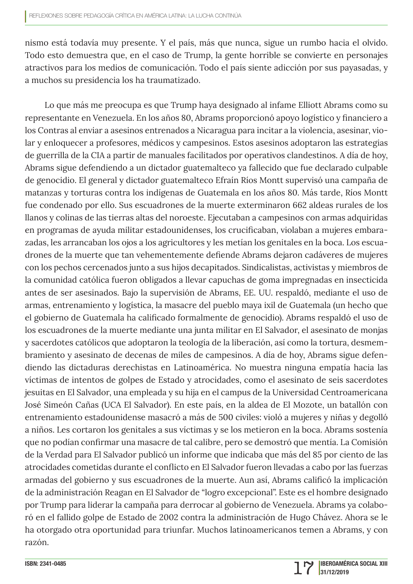nismo está todavía muy presente. Y el país, más que nunca, sigue un rumbo hacia el olvido. Todo esto demuestra que, en el caso de Trump, la gente horrible se convierte en personajes atractivos para los medios de comunicación. Todo el país siente adicción por sus payasadas, y a muchos su presidencia los ha traumatizado.

Lo que más me preocupa es que Trump haya designado al infame Elliott Abrams como su representante en Venezuela. En los años 80, Abrams proporcionó apoyo logístico y financiero a los Contras al enviar a asesinos entrenados a Nicaragua para incitar a la violencia, asesinar, violar y enloquecer a profesores, médicos y campesinos. Estos asesinos adoptaron las estrategias de guerrilla de la CIA a partir de manuales facilitados por operativos clandestinos. A día de hoy, Abrams sigue defendiendo a un dictador guatemalteco ya fallecido que fue declarado culpable de genocidio. El general y dictador guatemalteco Efraín Ríos Montt supervisó una campaña de matanzas y torturas contra los indígenas de Guatemala en los años 80. Más tarde, Ríos Montt fue condenado por ello. Sus escuadrones de la muerte exterminaron 662 aldeas rurales de los llanos y colinas de las tierras altas del noroeste. Ejecutaban a campesinos con armas adquiridas en programas de ayuda militar estadounidenses, los crucificaban, violaban a mujeres embarazadas, les arrancaban los ojos a los agricultores y les metían los genitales en la boca. Los escuadrones de la muerte que tan vehementemente defiende Abrams dejaron cadáveres de mujeres con los pechos cercenados junto a sus hijos decapitados. Sindicalistas, activistas y miembros de la comunidad católica fueron obligados a llevar capuchas de goma impregnadas en insecticida antes de ser asesinados. Bajo la supervisión de Abrams, EE. UU. respaldó, mediante el uso de armas, entrenamiento y logística, la masacre del pueblo maya ixil de Guatemala (un hecho que el gobierno de Guatemala ha calificado formalmente de genocidio). Abrams respaldó el uso de los escuadrones de la muerte mediante una junta militar en El Salvador, el asesinato de monjas y sacerdotes católicos que adoptaron la teología de la liberación, así como la tortura, desmembramiento y asesinato de decenas de miles de campesinos. A día de hoy, Abrams sigue defendiendo las dictaduras derechistas en Latinoamérica. No muestra ninguna empatía hacia las víctimas de intentos de golpes de Estado y atrocidades, como el asesinato de seis sacerdotes jesuitas en El Salvador, una empleada y su hija en el campus de la Universidad Centroamericana José Simeón Cañas (UCA El Salvador). En este país, en la aldea de El Mozote, un batallón con entrenamiento estadounidense masacró a más de 500 civiles: violó a mujeres y niñas y degolló a niños. Les cortaron los genitales a sus víctimas y se los metieron en la boca. Abrams sostenía que no podían confirmar una masacre de tal calibre, pero se demostró que mentía. La Comisión de la Verdad para El Salvador publicó un informe que indicaba que más del 85 por ciento de las atrocidades cometidas durante el conflicto en El Salvador fueron llevadas a cabo por las fuerzas armadas del gobierno y sus escuadrones de la muerte. Aun así, Abrams calificó la implicación de la administración Reagan en El Salvador de "logro excepcional". Este es el hombre designado por Trump para liderar la campaña para derrocar al gobierno de Venezuela. Abrams ya colaboró en el fallido golpe de Estado de 2002 contra la administración de Hugo Chávez. Ahora se le ha otorgado otra oportunidad para triunfar. Muchos latinoamericanos temen a Abrams, y con razón.

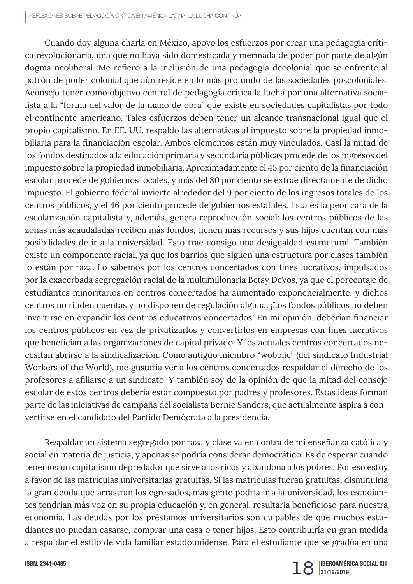Cuando doy alguna charla en México, apoyo los esfuerzos por crear una pedagogía crítica revolucionaria, una que no haya sido domesticada y mermada de poder por parte de algún dogma neoliberal. Me refiero a la inclusión de una pedagogía decolonial que se enfrente al patrón de poder colonial que aún reside en lo más profundo de las sociedades poscoloniales. Aconsejo tener como objetivo central de pedagogía crítica la lucha por una alternativa socialista a la "forma del valor de la mano de obra" que existe en sociedades capitalistas por todo el continente americano. Tales esfuerzos deben tener un alcance transnacional igual que el propio capitalismo. En EE. UU. respaldo las alternativas al impuesto sobre la propiedad inmobiliaria para la financiación escolar. Ambos elementos están muy vinculados. Casi la mitad de los fondos destinados a la educación primaria y secundaria públicas procede de los ingresos del impuesto sobre la propiedad inmobiliaria. Aproximadamente el 45 por ciento de la financiación escolar procede de gobiernos locales, y más del 80 por ciento se extrae directamente de dicho impuesto. El gobierno federal invierte alrededor del 9 por ciento de los ingresos totales de los centros públicos, y el 46 por ciento procede de gobiernos estatales. Esta es la peor cara de la escolarización capitalista y, además, genera reproducción social: los centros públicos de las zonas más acaudaladas reciben más fondos, tienen más recursos y sus hijos cuentan con más posibilidades de ir a la universidad. Esto trae consigo una desigualdad estructural. También existe un componente racial, ya que los barrios que siguen una estructura por clases también lo están por raza. Lo sabemos por los centros concertados con fines lucrativos, impulsados por la exacerbada segregación racial de la multimillonaria Betsy DeVos, ya que el porcentaje de estudiantes minoritarios en centros concertados ha aumentado exponencialmente, y dichos centros no rinden cuentas y no disponen de regulación alguna. ¡Los fondos públicos no deben invertirse en expandir los centros educativos concertados! En mi opinión, deberían financiar los centros públicos en vez de privatizarlos y convertirlos en empresas con fines lucrativos que benefician a las organizaciones de capital privado. Y los actuales centros concertados necesitan abrirse a la sindicalización. Como antiguo miembro "wobblie" (del sindicato Industrial Workers of the World), me gustaría ver a los centros concertados respaldar el derecho de los profesores a afiliarse a un sindicato. Y también soy de la opinión de que la mitad del consejo escolar de estos centros debería estar compuesto por padres y profesores. Estas ideas forman parte de las iniciativas de campaña del socialista Bernie Sanders, que actualmente aspira a convertirse en el candidato del Partido Demócrata a la presidencia.

Respaldar un sistema segregado por raza y clase va en contra de mi enseñanza católica y social en materia de justicia, y apenas se podría considerar democrático. Es de esperar cuando tenemos un capitalismo depredador que sirve a los ricos y abandona a los pobres. Por eso estoy a favor de las matrículas universitarias gratuitas. Si las matrículas fueran gratuitas, disminuiría la gran deuda que arrastran los egresados, más gente podría ir a la universidad, los estudiantes tendrían más voz en su propia educación y, en general, resultaría beneficioso para nuestra economía. Las deudas por los préstamos universitarios son culpables de que muchos estudiantes no puedan casarse, comprar una casa o tener hijos. Esto contribuiría en gran medida a respaldar el estilo de vida familiar estadounidense. Para el estudiante que se gradúa en una

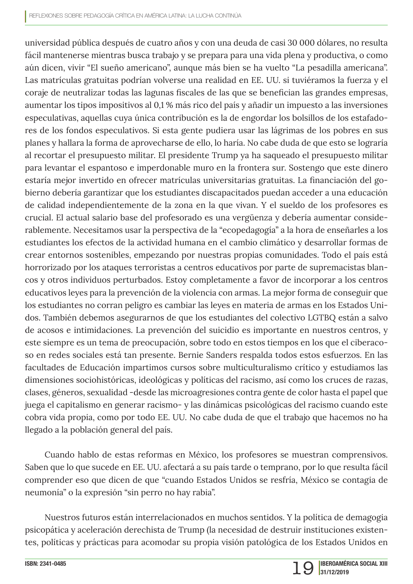universidad pública después de cuatro años y con una deuda de casi 30 000 dólares, no resulta fácil mantenerse mientras busca trabajo y se prepara para una vida plena y productiva, o como aún dicen, vivir "El sueño americano", aunque más bien se ha vuelto "La pesadilla americana". Las matrículas gratuitas podrían volverse una realidad en EE. UU. si tuviéramos la fuerza y el coraje de neutralizar todas las lagunas fiscales de las que se benefician las grandes empresas, aumentar los tipos impositivos al 0,1 % más rico del país y añadir un impuesto a las inversiones especulativas, aquellas cuya única contribución es la de engordar los bolsillos de los estafadores de los fondos especulativos. Si esta gente pudiera usar las lágrimas de los pobres en sus planes y hallara la forma de aprovecharse de ello, lo haría. No cabe duda de que esto se lograría al recortar el presupuesto militar. El presidente Trump ya ha saqueado el presupuesto militar para levantar el espantoso e imperdonable muro en la frontera sur. Sostengo que este dinero estaría mejor invertido en ofrecer matrículas universitarias gratuitas. La financiación del gobierno debería garantizar que los estudiantes discapacitados puedan acceder a una educación de calidad independientemente de la zona en la que vivan. Y el sueldo de los profesores es crucial. El actual salario base del profesorado es una vergüenza y debería aumentar considerablemente. Necesitamos usar la perspectiva de la "ecopedagogía" a la hora de enseñarles a los estudiantes los efectos de la actividad humana en el cambio climático y desarrollar formas de crear entornos sostenibles, empezando por nuestras propias comunidades. Todo el país está horrorizado por los ataques terroristas a centros educativos por parte de supremacistas blancos y otros individuos perturbados. Estoy completamente a favor de incorporar a los centros educativos leyes para la prevención de la violencia con armas. La mejor forma de conseguir que los estudiantes no corran peligro es cambiar las leyes en materia de armas en los Estados Unidos. También debemos asegurarnos de que los estudiantes del colectivo LGTBQ están a salvo de acosos e intimidaciones. La prevención del suicidio es importante en nuestros centros, y este siempre es un tema de preocupación, sobre todo en estos tiempos en los que el ciberacoso en redes sociales está tan presente. Bernie Sanders respalda todos estos esfuerzos. En las facultades de Educación impartimos cursos sobre multiculturalismo crítico y estudiamos las dimensiones sociohistóricas, ideológicas y políticas del racismo, así como los cruces de razas, clases, géneros, sexualidad -desde las microagresiones contra gente de color hasta el papel que juega el capitalismo en generar racismo- y las dinámicas psicológicas del racismo cuando este cobra vida propia, como por todo EE. UU. No cabe duda de que el trabajo que hacemos no ha llegado a la población general del país.

Cuando hablo de estas reformas en México, los profesores se muestran comprensivos. Saben que lo que sucede en EE. UU. afectará a su país tarde o temprano, por lo que resulta fácil comprender eso que dicen de que "cuando Estados Unidos se resfría, México se contagia de neumonía" o la expresión "sin perro no hay rabia".

Nuestros futuros están interrelacionados en muchos sentidos. Y la política de demagogia psicopática y aceleración derechista de Trump (la necesidad de destruir instituciones existentes, políticas y prácticas para acomodar su propia visión patológica de los Estados Unidos en